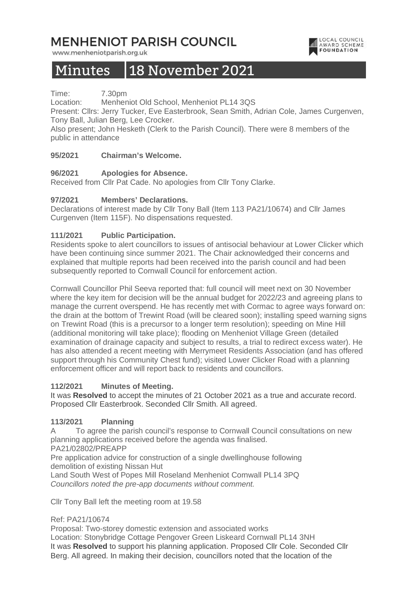## **MENHENIOT PARISH COUNCIL**

www.menheniotparish.org.uk

## LOCAL COUNCIL **AWARD SCHEME**

# Minutes 18 November 2021

Time: 7.30pm

Location: Menheniot Old School, Menheniot PL14 3QS

Present: Cllrs: Jerry Tucker, Eve Easterbrook, Sean Smith, Adrian Cole, James Curgenven, Tony Ball, Julian Berg, Lee Crocker.

Also present; John Hesketh (Clerk to the Parish Council). There were 8 members of the public in attendance

## **95/2021 Chairman's Welcome.**

## **96/2021 Apologies for Absence.**

Received from Cllr Pat Cade. No apologies from Cllr Tony Clarke.

## **97/2021 Members' Declarations.**

Declarations of interest made by Cllr Tony Ball (Item 113 PA21/10674) and Cllr James Curgenven (Item 115F). No dispensations requested.

## **111/2021 Public Participation.**

Residents spoke to alert councillors to issues of antisocial behaviour at Lower Clicker which have been continuing since summer 2021. The Chair acknowledged their concerns and explained that multiple reports had been received into the parish council and had been subsequently reported to Cornwall Council for enforcement action.

Cornwall Councillor Phil Seeva reported that: full council will meet next on 30 November where the key item for decision will be the annual budget for 2022/23 and agreeing plans to manage the current overspend. He has recently met with Cormac to agree ways forward on: the drain at the bottom of Trewint Road (will be cleared soon); installing speed warning signs on Trewint Road (this is a precursor to a longer term resolution); speeding on Mine Hill (additional monitoring will take place); flooding on Menheniot Village Green (detailed examination of drainage capacity and subject to results, a trial to redirect excess water). He has also attended a recent meeting with Merrymeet Residents Association (and has offered support through his Community Chest fund); visited Lower Clicker Road with a planning enforcement officer and will report back to residents and councillors.

#### **112/2021 Minutes of Meeting.**

It was **Resolved** to accept the minutes of 21 October 2021 as a true and accurate record. Proposed Cllr Easterbrook. Seconded Cllr Smith. All agreed.

## **113/2021 Planning**

A To agree the parish council's response to Cornwall Council consultations on new planning applications received before the agenda was finalised.

PA21/02802/PREAPP

Pre application advice for construction of a single dwellinghouse following demolition of existing Nissan Hut

Land South West of Popes Mill Roseland Menheniot Cornwall PL14 3PQ Councillors noted the pre-app documents without comment.

Cllr Tony Ball left the meeting room at 19.58

#### Ref: PA21/10674

Proposal: Two-storey domestic extension and associated works Location: Stonybridge Cottage Pengover Green Liskeard Cornwall PL14 3NH It was **Resolved** to support his planning application. Proposed Cllr Cole. Seconded Cllr Berg. All agreed. In making their decision, councillors noted that the location of the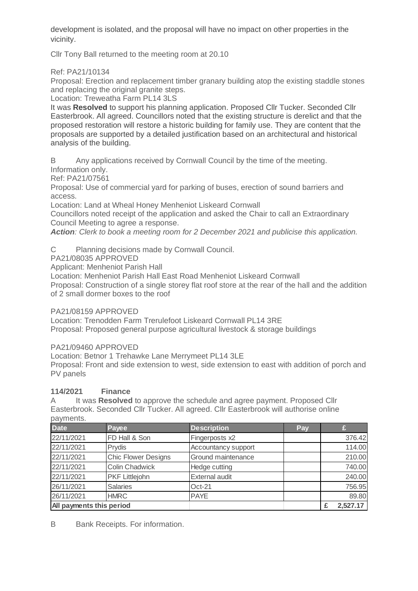development is isolated, and the proposal will have no impact on other properties in the vicinity.

Cllr Tony Ball returned to the meeting room at 20.10

Ref: PA21/10134

Proposal: Erection and replacement timber granary building atop the existing staddle stones and replacing the original granite steps.

Location: Treweatha Farm PL14 3LS

It was **Resolved** to support his planning application. Proposed Cllr Tucker. Seconded Cllr Easterbrook. All agreed. Councillors noted that the existing structure is derelict and that the proposed restoration will restore a historic building for family use. They are content that the proposals are supported by a detailed justification based on an architectural and historical analysis of the building.

B Any applications received by Cornwall Council by the time of the meeting.

Information only.

Ref: PA21/07561

Proposal: Use of commercial yard for parking of buses, erection of sound barriers and access.

Location: Land at Wheal Honey Menheniot Liskeard Cornwall

Councillors noted receipt of the application and asked the Chair to call an Extraordinary Council Meeting to agree a response.

**Action**: Clerk to book a meeting room for 2 December 2021 and publicise this application.

C Planning decisions made by Cornwall Council.

PA21/08035 APPROVED

Applicant: Menheniot Parish Hall

Location: Menheniot Parish Hall East Road Menheniot Liskeard Cornwall

Proposal: Construction of a single storey flat roof store at the rear of the hall and the addition of 2 small dormer boxes to the roof

PA21/08159 APPROVED

Location: Trenodden Farm Trerulefoot Liskeard Cornwall PL14 3RE Proposal: Proposed general purpose agricultural livestock & storage buildings

PA21/09460 APPROVED

Location: Betnor 1 Trehawke Lane Merrymeet PL14 3LE

Proposal: Front and side extension to west, side extension to east with addition of porch and PV panels

## **114/2021 Finance**

A It was **Resolved** to approve the schedule and agree payment. Proposed Cllr Easterbrook. Seconded Cllr Tucker. All agreed. Cllr Easterbrook will authorise online payments.

| <b>Date</b>              | Payee                      | <b>Description</b>    | Pay |          |
|--------------------------|----------------------------|-----------------------|-----|----------|
| 22/11/2021               | FD Hall & Son              | Fingerposts x2        |     | 376.42   |
| 22/11/2021               | Prydis                     | Accountancy support   |     | 114.00   |
| 22/11/2021               | <b>Chic Flower Designs</b> | Ground maintenance    |     | 210.00   |
| 22/11/2021               | <b>Colin Chadwick</b>      | Hedge cutting         |     | 740.00   |
| 22/11/2021               | <b>PKF Littlejohn</b>      | <b>External audit</b> |     | 240.00   |
| 26/11/2021               | <b>Salaries</b>            | $Oct-21$              |     | 756.95   |
| 26/11/2021               | <b>HMRC</b>                | <b>PAYE</b>           |     | 89.80    |
| All payments this period |                            |                       |     | 2,527.17 |

B Bank Receipts. For information.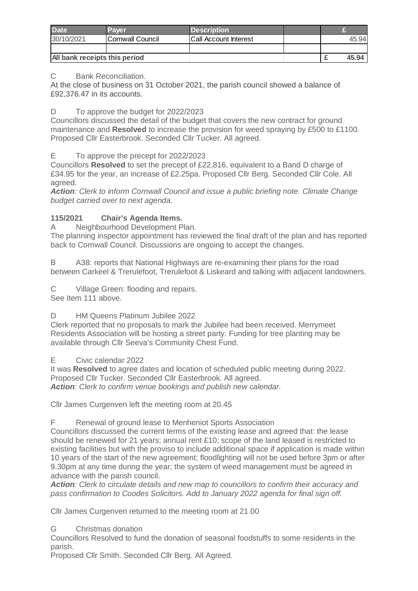| <b>Date</b>                   | Paver                    | <b>Description</b>    |  |       |
|-------------------------------|--------------------------|-----------------------|--|-------|
| 30/10/2021                    | <b>ICornwall Council</b> | Call Account Interest |  | 45.94 |
|                               |                          |                       |  |       |
| All bank receipts this period |                          |                       |  | 45.94 |

C Bank Reconciliation.

At the close of business on 31 October 2021, the parish council showed a balance of £92,376.47 in its accounts.

D To approve the budget for 2022/2023

Councillors discussed the detail of the budget that covers the new contract for ground maintenance and **Resolved** to increase the provision for weed spraying by £500 to £1100. Proposed Cllr Easterbrook. Seconded Cllr Tucker. All agreed.

E To approve the precept for 2022/2023

Councillors **Resolved** to set the precept of £22,816, equivalent to a Band D charge of £34.95 for the year, an increase of £2.25pa. Proposed Cllr Berg. Seconded Cllr Cole. All agreed.

**Action**: Clerk to inform Cornwall Council and issue a public briefing note. Climate Change budget carried over to next agenda.

## **115/2021 Chair's Agenda Items.**

A Neighbourhood Development Plan.

The planning inspector appointment has reviewed the final draft of the plan and has reported back to Cornwall Council. Discussions are ongoing to accept the changes.

B A38: reports that National Highways are re-examining their plans for the road between Carkeel & Trerulefoot, Trerulefoot & Liskeard and talking with adjacent landowners.

C Village Green: flooding and repairs. See Item 111 above.

D HM Queens Platinum Jubilee 2022

Clerk reported that no proposals to mark the Jubilee had been received. Merrymeet Residents Association will be hosting a street party. Funding for tree planting may be available through Cllr Seeva's Community Chest Fund.

E Civic calendar 2022

It was **Resolved** to agree dates and location of scheduled public meeting during 2022. Proposed Cllr Tucker. Seconded Cllr Easterbrook. All agreed. **Action**: Clerk to confirm venue bookings and publish new calendar.

Cllr James Curgenven left the meeting room at 20.45

F Renewal of ground lease to Menheniot Sports Association

Councillors discussed the current terms of the existing lease and agreed that: the lease should be renewed for 21 years; annual rent £10; scope of the land leased is restricted to existing facilities but with the proviso to include additional space if application is made within 10 years of the start of the new agreement; floodlighting will not be used before 3pm or after 9.30pm at any time during the year; the system of weed management must be agreed in advance with the parish council.

**Action**: Clerk to circulate details and new map to councillors to confirm their accuracy and pass confirmation to Coodes Solicitors. Add to January 2022 agenda for final sign off.

Cllr James Curgenven returned to the meeting room at 21.00

G Christmas donation

Councillors Resolved to fund the donation of seasonal foodstuffs to some residents in the parish.

Proposed Cllr Smith. Seconded Cllr Berg. All Agreed.